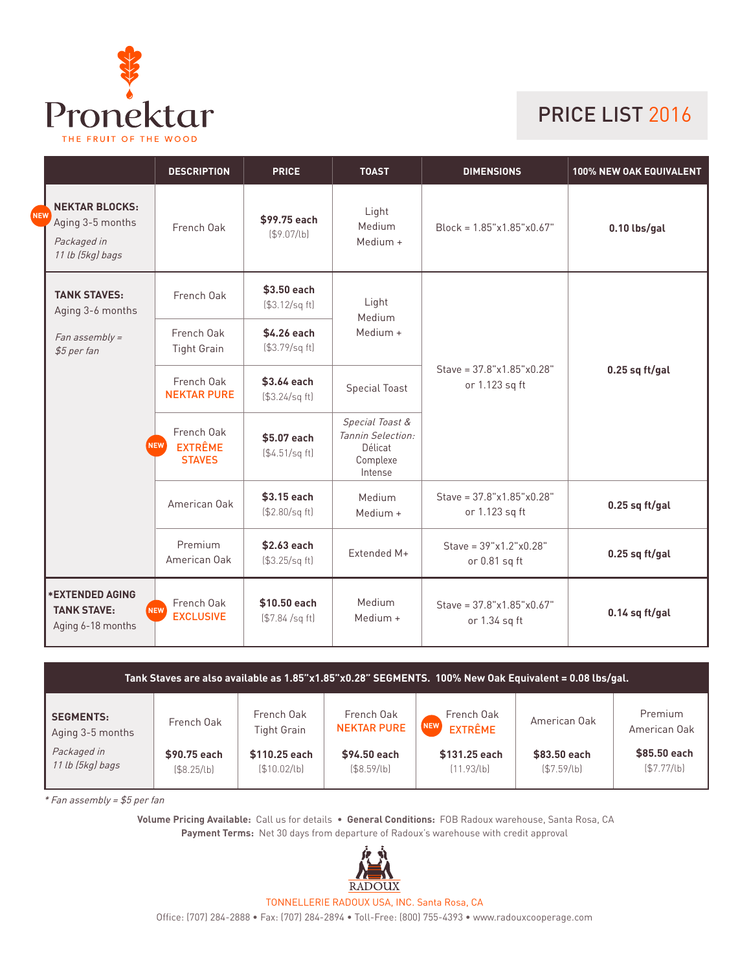

## PRICE LIST 2016

|            |                                                                              | <b>DESCRIPTION</b>                                   | <b>PRICE</b>                     | <b>TOAST</b>                                                           | <b>DIMENSIONS</b>                                      | <b>100% NEW OAK EQUIVALENT</b> |  |
|------------|------------------------------------------------------------------------------|------------------------------------------------------|----------------------------------|------------------------------------------------------------------------|--------------------------------------------------------|--------------------------------|--|
| <b>NEV</b> | <b>NEKTAR BLOCKS:</b><br>Aging 3-5 months<br>Packaged in<br>11 lb (5kg) bags | French Oak                                           | \$99.75 each<br>(S9.07/lb)       | Light<br>Medium<br>Medium +                                            | $Block = 1.85"x1.85"x0.67"$                            | $0.10$ lbs/gal                 |  |
|            | <b>TANK STAVES:</b><br>Aging 3-6 months                                      | French Oak                                           | \$3.50 each<br>(\$3.12/sq ft)    | Light<br>Medium                                                        | Stave = $37.8$ "x $1.85$ "x $0.28$ "<br>or 1.123 sq ft | $0.25$ sq ft/gal               |  |
|            | Fan assembly =<br>\$5 per fan                                                | French Oak<br><b>Tight Grain</b>                     | \$4.26 each<br>(\$3.79/sq ft)    | Medium +                                                               |                                                        |                                |  |
|            |                                                                              | French Oak<br><b>NEKTAR PURE</b>                     | \$3.64 each<br>(\$3.24/sq ft)    | <b>Special Toast</b>                                                   |                                                        |                                |  |
|            |                                                                              | French Oak<br>NEW<br><b>EXTRÊME</b><br><b>STAVES</b> | \$5.07 each<br>( \$4.51/sq ft]   | Special Toast &<br>Tannin Selection:<br>Délicat<br>Complexe<br>Intense |                                                        |                                |  |
|            |                                                                              | American Oak                                         | \$3.15 each<br>(\$2.80/sq ft)    | Medium<br>Medium +                                                     | Stave = $37.8$ "x $1.85$ "x $0.28$ "<br>or 1.123 sq ft | $0.25$ sq ft/gal               |  |
|            |                                                                              | Premium<br>American Oak                              | \$2.63 each<br>(\$3.25/sq ft)    | Extended M+                                                            | Stave = $39"x1.2"x0.28"$<br>or 0.81 sq ft              | $0.25$ sq ft/gal               |  |
|            | <b>*EXTENDED AGING</b><br><b>TANK STAVE:</b><br>Aging 6-18 months            | French Oak<br>NEW <sup></sup><br><b>EXCLUSIVE</b>    | \$10.50 each<br>$($7.84$ /sq ft) | Medium<br>Medium $+$                                                   | Stave = $37.8$ "x1.85"x0.67"<br>or 1.34 sq ft          | $0.14$ sq ft/gal               |  |

| Tank Staves are also available as 1.85"x1.85"x0.28" SEGMENTS. 100% New Oak Equivalent = 0.08 lbs/gal. |                            |                                  |                                  |                                     |                            |                              |  |
|-------------------------------------------------------------------------------------------------------|----------------------------|----------------------------------|----------------------------------|-------------------------------------|----------------------------|------------------------------|--|
| <b>SEGMENTS:</b><br>Aging 3-5 months                                                                  | French Oak                 | French Oak<br><b>Tight Grain</b> | French Oak<br><b>NEKTAR PURE</b> | French Oak<br>NEW<br><b>EXTRÊME</b> | American Oak               | Premium<br>American Oak      |  |
| Packaged in<br>11 lb (5kg) bags                                                                       | \$90.75 each<br>(S8.25/lb) | \$110.25 each<br>(\$10.02/lb)    | \$94.50 each<br>(S8.59/lb)       | \$131.25 each<br>(11.93/b)          | \$83.50 each<br>(S7.59/lb) | \$85.50 each<br>( \$7.77/lb] |  |

\* Fan assembly = \$5 per fan

**Volume Pricing Available:** Call us for details • **General Conditions:** FOB Radoux warehouse, Santa Rosa, CA **Payment Terms:** Net 30 days from departure of Radoux's warehouse with credit approval



TONNELLERIE RADOUX USA, INC. Santa Rosa, CA

Office: (707) 284-2888 • Fax: (707) 284-2894 • Toll-Free: (800) 755-4393 • www.radouxcooperage.com